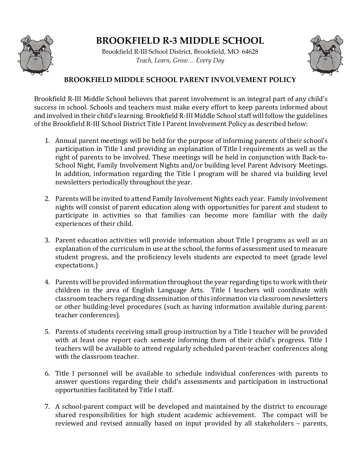

## **BROOKFIELD R-3 MIDDLE SCHOOL**

Brookfield R-III School District, Brookfield, MO 64628 *Teach, Learn, Grow… Every Day*



## **BROOKFIELD MIDDLE SCHOOL PARENT INVOLVEMENT POLICY**

Brookfield R-III Middle School believes that parent involvement is an integral part of any child's success in school. Schools and teachers must make every effort to keep parents informed about and involved in their child's learning. Brookfield R-III Middle School staff will follow the guidelines of the Brookfield R-III School District Title I Parent Involvement Policy as described below:

- 1. Annual parent meetings will be held for the purpose of informing parents of their school's participation in Title I and providing an explanation of Title I requirements as well as the right of parents to be involved. These meetings will be held in conjunction with Back-to-School Night, Family Involvement Nights and/or building level Parent Advisory Meetings. In addition, information regarding the Title I program will be shared via building level newsletters periodically throughout the year.
- 2. Parents will be invited to attend Family Involvement Nights each year. Family involvement nights will consist of parent education along with opportunities for parent and student to participate in activities so that families can become more familiar with the daily experiences of their child.
- 3. Parent education activities will provide information about Title I programs as well as an explanation of the curriculum in use at the school, the forms of assessment used to measure student progress, and the proficiency levels students are expected to meet (grade level expectations.)
- 4. Parents will be provided information throughout the year regarding tips to work with their children in the area of English Language Arts. Title I teachers will coordinate with classroom teachers regarding dissemination of this information via classroom newsletters or other building-level procedures (such as having information available during parentteacher conferences).
- 5. Parents of students receiving small group instruction by a Title I teacher will be provided with at least one report each semeste informing them of their child's progress. Title I teachers will be available to attend regularly scheduled parent-teacher conferences along with the classroom teacher.
- 6. Title I personnel will be available to schedule individual conferences with parents to answer questions regarding their child's assessments and participation in instructional opportunities facilitated by Title I staff.
- 7. A school-parent compact will be developed and maintained by the district to encourage shared responsibilities for high student academic achievement. The compact will be reviewed and revised annually based on input provided by all stakeholders – parents,